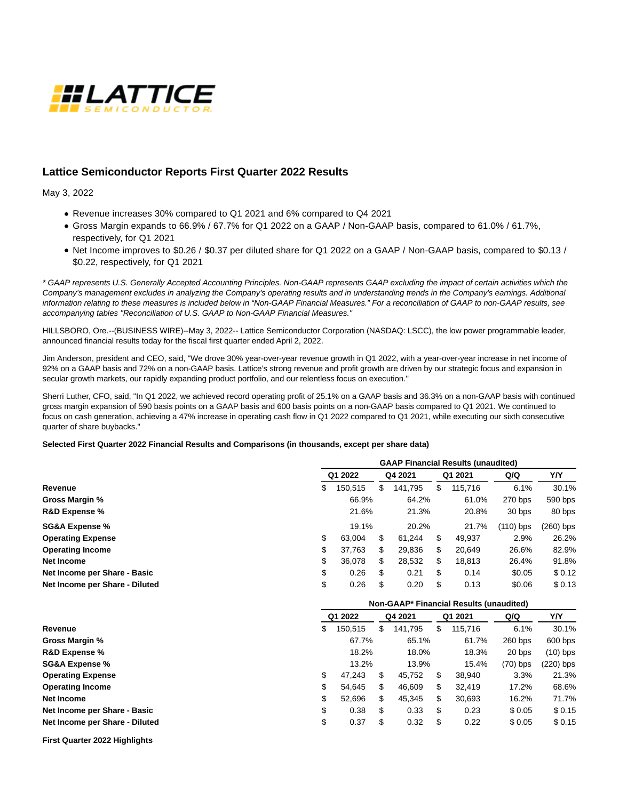

# **Lattice Semiconductor Reports First Quarter 2022 Results**

May 3, 2022

- Revenue increases 30% compared to Q1 2021 and 6% compared to Q4 2021
- Gross Margin expands to 66.9% / 67.7% for Q1 2022 on a GAAP / Non-GAAP basis, compared to 61.0% / 61.7%, respectively, for Q1 2021
- Net Income improves to \$0.26 / \$0.37 per diluted share for Q1 2022 on a GAAP / Non-GAAP basis, compared to \$0.13 / \$0.22, respectively, for Q1 2021

\* GAAP represents U.S. Generally Accepted Accounting Principles. Non-GAAP represents GAAP excluding the impact of certain activities which the Company's management excludes in analyzing the Company's operating results and in understanding trends in the Company's earnings. Additional information relating to these measures is included below in "Non-GAAP Financial Measures." For a reconciliation of GAAP to non-GAAP results, see accompanying tables "Reconciliation of U.S. GAAP to Non-GAAP Financial Measures."

HILLSBORO, Ore.--(BUSINESS WIRE)--May 3, 2022-- Lattice Semiconductor Corporation (NASDAQ: LSCC), the low power programmable leader, announced financial results today for the fiscal first quarter ended April 2, 2022.

Jim Anderson, president and CEO, said, "We drove 30% year-over-year revenue growth in Q1 2022, with a year-over-year increase in net income of 92% on a GAAP basis and 72% on a non-GAAP basis. Lattice's strong revenue and profit growth are driven by our strategic focus and expansion in secular growth markets, our rapidly expanding product portfolio, and our relentless focus on execution."

Sherri Luther, CFO, said, "In Q1 2022, we achieved record operating profit of 25.1% on a GAAP basis and 36.3% on a non-GAAP basis with continued gross margin expansion of 590 basis points on a GAAP basis and 600 basis points on a non-GAAP basis compared to Q1 2021. We continued to focus on cash generation, achieving a 47% increase in operating cash flow in Q1 2022 compared to Q1 2021, while executing our sixth consecutive quarter of share buybacks."

## **Selected First Quarter 2022 Financial Results and Comparisons (in thousands, except per share data)**

|                                | <b>GAAP Financial Results (unaudited)</b> |         |         |         |         |             |             |             |
|--------------------------------|-------------------------------------------|---------|---------|---------|---------|-------------|-------------|-------------|
|                                | Q1 2022                                   |         | Q4 2021 |         | Q1 2021 |             | Q/Q         | Y/Y         |
| Revenue                        | \$                                        | 150,515 | \$      | 141,795 | \$      | 115,716     | 6.1%        | 30.1%       |
| Gross Margin %                 |                                           | 66.9%   |         | 64.2%   |         | 61.0%       | 270 bps     | 590 bps     |
| R&D Expense %                  |                                           | 21.6%   |         | 21.3%   |         | 20.8%       | 30 bps      | 80 bps      |
| <b>SG&amp;A Expense %</b>      | 19.1%                                     |         | 20.2%   | 21.7%   |         | $(110)$ bps | $(260)$ bps |             |
| <b>Operating Expense</b>       | \$                                        | 63,004  | \$      | 61,244  | \$      | 49,937      | 2.9%        | 26.2%       |
| <b>Operating Income</b>        | \$                                        | 37,763  | \$      | 29,836  | \$      | 20,649      | 26.6%       | 82.9%       |
| <b>Net Income</b>              | \$                                        | 36,078  | \$      | 28,532  | \$      | 18,813      | 26.4%       | 91.8%       |
| Net Income per Share - Basic   | \$                                        | 0.26    | \$      | 0.21    | \$      | 0.14        | \$0.05      | \$0.12      |
| Net Income per Share - Diluted | \$                                        | 0.26    | \$      | 0.20    | \$      | 0.13        | \$0.06      | \$0.13      |
|                                | Non-GAAP* Financial Results (unaudited)   |         |         |         |         |             |             |             |
|                                |                                           |         |         |         |         |             |             |             |
|                                |                                           | Q1 2022 |         | Q4 2021 |         | Q1 2021     | Q/Q         | Y/Y         |
| Revenue                        | \$                                        | 150,515 | \$      | 141,795 | \$      | 115,716     | 6.1%        | 30.1%       |
| Gross Margin %                 |                                           | 67.7%   |         | 65.1%   |         | 61.7%       | 260 bps     | 600 bps     |
| R&D Expense %                  |                                           | 18.2%   |         | 18.0%   |         | 18.3%       | 20 bps      | $(10)$ bps  |
| <b>SG&amp;A Expense %</b>      |                                           | 13.2%   |         | 13.9%   |         | 15.4%       | $(70)$ bps  | $(220)$ bps |
| <b>Operating Expense</b>       | \$                                        | 47,243  | \$      | 45,752  | \$      | 38,940      | 3.3%        | 21.3%       |
| <b>Operating Income</b>        | \$                                        | 54,645  | \$      | 46,609  | \$      | 32,419      | 17.2%       | 68.6%       |
| <b>Net Income</b>              | \$                                        | 52,696  | \$      | 45,345  | \$      | 30,693      | 16.2%       | 71.7%       |
| Net Income per Share - Basic   | \$                                        | 0.38    | \$      | 0.33    | \$      | 0.23        | \$0.05      | \$0.15      |

**First Quarter 2022 Highlights**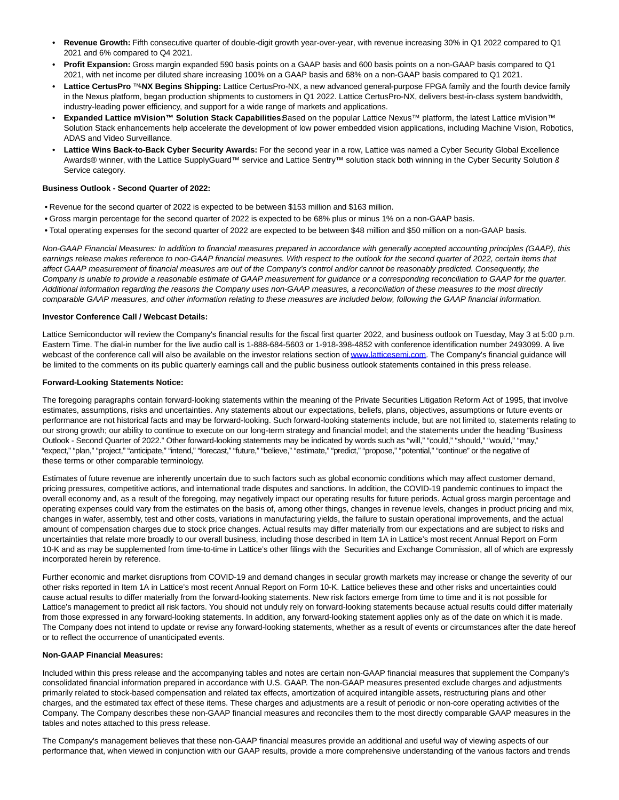- **• Revenue Growth:** Fifth consecutive quarter of double-digit growth year-over-year, with revenue increasing 30% in Q1 2022 compared to Q1 2021 and 6% compared to Q4 2021.
- **• Profit Expansion:** Gross margin expanded 590 basis points on a GAAP basis and 600 basis points on a non-GAAP basis compared to Q1 2021, with net income per diluted share increasing 100% on a GAAP basis and 68% on a non-GAAP basis compared to Q1 2021.
- **• Lattice CertusPro** ™**-NX Begins Shipping:** Lattice CertusPro-NX, a new advanced general-purpose FPGA family and the fourth device family in the Nexus platform, began production shipments to customers in Q1 2022. Lattice CertusPro-NX, delivers best-in-class system bandwidth, industry-leading power efficiency, and support for a wide range of markets and applications.
- **Expanded Lattice mVision™ Solution Stack Capabilities:Based on the popular Lattice Nexus™ platform, the latest Lattice mVision™** Solution Stack enhancements help accelerate the development of low power embedded vision applications, including Machine Vision, Robotics, ADAS and Video Surveillance.
- **• Lattice Wins Back-to-Back Cyber Security Awards:** For the second year in a row, Lattice was named a Cyber Security Global Excellence Awards® winner, with the Lattice SupplyGuard™ service and Lattice Sentry™ solution stack both winning in the Cyber Security Solution & Service category.

### **Business Outlook - Second Quarter of 2022:**

- **•** Revenue for the second quarter of 2022 is expected to be between \$153 million and \$163 million.
- **•** Gross margin percentage for the second quarter of 2022 is expected to be 68% plus or minus 1% on a non-GAAP basis.
- **•** Total operating expenses for the second quarter of 2022 are expected to be between \$48 million and \$50 million on a non-GAAP basis.

Non-GAAP Financial Measures: In addition to financial measures prepared in accordance with generally accepted accounting principles (GAAP), this earnings release makes reference to non-GAAP financial measures. With respect to the outlook for the second quarter of 2022, certain items that affect GAAP measurement of financial measures are out of the Company's control and/or cannot be reasonably predicted. Consequently, the Company is unable to provide a reasonable estimate of GAAP measurement for guidance or a corresponding reconciliation to GAAP for the quarter. Additional information regarding the reasons the Company uses non-GAAP measures, a reconciliation of these measures to the most directly comparable GAAP measures, and other information relating to these measures are included below, following the GAAP financial information.

#### **Investor Conference Call / Webcast Details:**

Lattice Semiconductor will review the Company's financial results for the fiscal first quarter 2022, and business outlook on Tuesday, May 3 at 5:00 p.m. Eastern Time. The dial-in number for the live audio call is 1-888-684-5603 or 1-918-398-4852 with conference identification number 2493099. A live webcast of the conference call will also be available on the investor relations section o[f www.latticesemi.com.](https://cts.businesswire.com/ct/CT?id=smartlink&url=http%3A%2F%2Fwww.latticesemi.com&esheet=52706891&newsitemid=20220503006189&lan=en-US&anchor=www.latticesemi.com&index=1&md5=324ecc899f6f39b7b7c635be50122f75) The Company's financial guidance will be limited to the comments on its public quarterly earnings call and the public business outlook statements contained in this press release.

#### **Forward-Looking Statements Notice:**

The foregoing paragraphs contain forward-looking statements within the meaning of the Private Securities Litigation Reform Act of 1995, that involve estimates, assumptions, risks and uncertainties. Any statements about our expectations, beliefs, plans, objectives, assumptions or future events or performance are not historical facts and may be forward-looking. Such forward-looking statements include, but are not limited to, statements relating to our strong growth; our ability to continue to execute on our long-term strategy and financial model; and the statements under the heading "Business Outlook - Second Quarter of 2022." Other forward-looking statements may be indicated by words such as "will," "could," "should," "would," "may," "expect," "plan," "project," "anticipate," "intend," "forecast," "future," "believe," "estimate," "predict," "propose," "potential," "continue" or the negative of these terms or other comparable terminology.

Estimates of future revenue are inherently uncertain due to such factors such as global economic conditions which may affect customer demand, pricing pressures, competitive actions, and international trade disputes and sanctions. In addition, the COVID-19 pandemic continues to impact the overall economy and, as a result of the foregoing, may negatively impact our operating results for future periods. Actual gross margin percentage and operating expenses could vary from the estimates on the basis of, among other things, changes in revenue levels, changes in product pricing and mix, changes in wafer, assembly, test and other costs, variations in manufacturing yields, the failure to sustain operational improvements, and the actual amount of compensation charges due to stock price changes. Actual results may differ materially from our expectations and are subject to risks and uncertainties that relate more broadly to our overall business, including those described in Item 1A in Lattice's most recent Annual Report on Form 10-K and as may be supplemented from time-to-time in Lattice's other filings with the Securities and Exchange Commission, all of which are expressly incorporated herein by reference.

Further economic and market disruptions from COVID-19 and demand changes in secular growth markets may increase or change the severity of our other risks reported in Item 1A in Lattice's most recent Annual Report on Form 10-K. Lattice believes these and other risks and uncertainties could cause actual results to differ materially from the forward-looking statements. New risk factors emerge from time to time and it is not possible for Lattice's management to predict all risk factors. You should not unduly rely on forward-looking statements because actual results could differ materially from those expressed in any forward-looking statements. In addition, any forward-looking statement applies only as of the date on which it is made. The Company does not intend to update or revise any forward-looking statements, whether as a result of events or circumstances after the date hereof or to reflect the occurrence of unanticipated events.

### **Non-GAAP Financial Measures:**

Included within this press release and the accompanying tables and notes are certain non-GAAP financial measures that supplement the Company's consolidated financial information prepared in accordance with U.S. GAAP. The non-GAAP measures presented exclude charges and adjustments primarily related to stock-based compensation and related tax effects, amortization of acquired intangible assets, restructuring plans and other charges, and the estimated tax effect of these items. These charges and adjustments are a result of periodic or non-core operating activities of the Company. The Company describes these non-GAAP financial measures and reconciles them to the most directly comparable GAAP measures in the tables and notes attached to this press release.

The Company's management believes that these non-GAAP financial measures provide an additional and useful way of viewing aspects of our performance that, when viewed in conjunction with our GAAP results, provide a more comprehensive understanding of the various factors and trends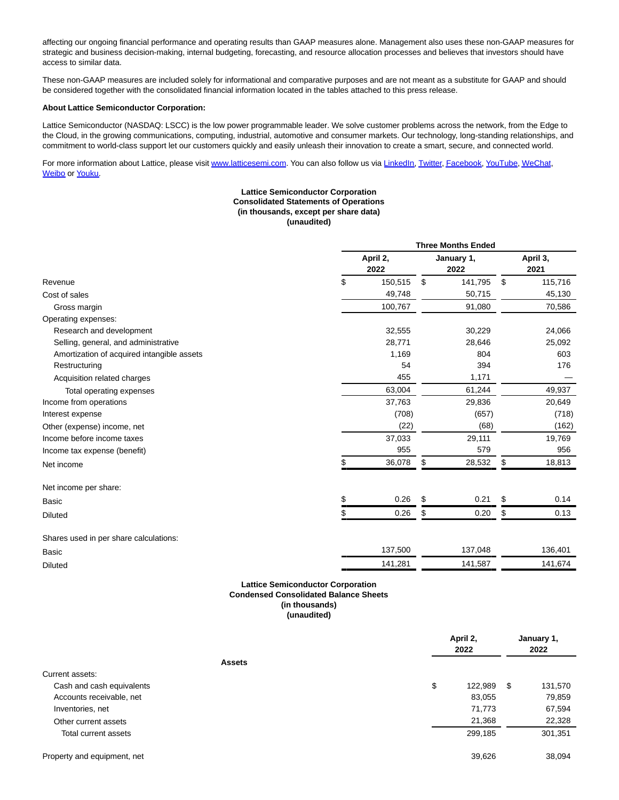affecting our ongoing financial performance and operating results than GAAP measures alone. Management also uses these non-GAAP measures for strategic and business decision-making, internal budgeting, forecasting, and resource allocation processes and believes that investors should have access to similar data.

These non-GAAP measures are included solely for informational and comparative purposes and are not meant as a substitute for GAAP and should be considered together with the consolidated financial information located in the tables attached to this press release.

#### **About Lattice Semiconductor Corporation:**

Lattice Semiconductor (NASDAQ: LSCC) is the low power programmable leader. We solve customer problems across the network, from the Edge to the Cloud, in the growing communications, computing, industrial, automotive and consumer markets. Our technology, long-standing relationships, and commitment to world-class support let our customers quickly and easily unleash their innovation to create a smart, secure, and connected world.

For more information about Lattice, please visit [www.latticesemi.com.](https://cts.businesswire.com/ct/CT?id=smartlink&url=http%3A%2F%2Fwww.latticesemi.com&esheet=52706891&newsitemid=20220503006189&lan=en-US&anchor=www.latticesemi.com&index=2&md5=a6c3bb3b00df5144f026b5fe6de76492) You can also follow us via [LinkedIn,](https://cts.businesswire.com/ct/CT?id=smartlink&url=https%3A%2F%2Fwww.linkedin.com%2Fauthwall%3Ftrk%3Dripf%26trkInfo%3DAQGt8oLVGamd6gAAAYCLNmMYzX6dWFv5bjncDN0vz1im47ufa-bFckrKDxLS-AZP8xyTfC-G-3vWcwBNHtVpdi7PYqzOm3kOMbH-C5qWx0jPnkoBtSxcKGMLGKw-MXO_SOZWxfY%3D%26originalReferer%3Dhttps%3A%2F%2Fwww.businesswire.com%2Fnews%2Fhome%2F20220215006086%2Fen%2FLattice-Semiconductor-Reports-Fourth-Quarter-and-Full-Year-2021-Results%26sessionRedirect%3Dhttps%253A%252F%252Fwww.linkedin.com%252Fcompany%252Flattice-semiconductor%252F&esheet=52706891&newsitemid=20220503006189&lan=en-US&anchor=LinkedIn&index=3&md5=c816bb9fb23b82d3609b93147f443ff0) [Twitter,](https://cts.businesswire.com/ct/CT?id=smartlink&url=https%3A%2F%2Ftwitter.com%2Flatticesemi&esheet=52706891&newsitemid=20220503006189&lan=en-US&anchor=Twitter&index=4&md5=32dc918a09c4e00be007347a57df184c) [Facebook,](https://cts.businesswire.com/ct/CT?id=smartlink&url=http%3A%2F%2Fwww.facebook.com%2Flatticesemi%2F&esheet=52706891&newsitemid=20220503006189&lan=en-US&anchor=Facebook&index=5&md5=f8b7b9774d139cc19db06034ed6f679d) [YouTube,](https://cts.businesswire.com/ct/CT?id=smartlink&url=https%3A%2F%2Fwww.youtube.com%2Fuser%2Flatticesemiconductor&esheet=52706891&newsitemid=20220503006189&lan=en-US&anchor=YouTube&index=6&md5=c67b7a0c7bed7cccf30d9c138207578f) [WeChat,](https://cts.businesswire.com/ct/CT?id=smartlink&url=https%3A%2F%2Fwww.latticesemi.com%2FAbout%2FNewsroom%2FWeChat&esheet=52706891&newsitemid=20220503006189&lan=en-US&anchor=WeChat&index=7&md5=1260f9d1ce51007469d1021e5201d2cc) [Weibo o](https://cts.businesswire.com/ct/CT?id=smartlink&url=https%3A%2F%2Fwww.weibo.com%2Flatticesemi%3Fis_all%3D1&esheet=52706891&newsitemid=20220503006189&lan=en-US&anchor=Weibo&index=8&md5=4a626ca305e183d4c06b37395bfbe59d)r [Youku.](https://cts.businesswire.com/ct/CT?id=smartlink&url=https%3A%2F%2Fwww.youku.com%2Fprofile%2Findex%3Fuid%3DUMzQwMjA1MjI4&esheet=52706891&newsitemid=20220503006189&lan=en-US&anchor=Youku&index=9&md5=5d930b5ba13d09206b0f10bcc1958b36)

### **Lattice Semiconductor Corporation Consolidated Statements of Operations (in thousands, except per share data) (unaudited)**

|                                            | <b>Three Months Ended</b> |         |                    |         |                  |         |  |
|--------------------------------------------|---------------------------|---------|--------------------|---------|------------------|---------|--|
|                                            | April 2,<br>2022          |         | January 1,<br>2022 |         | April 3,<br>2021 |         |  |
| Revenue                                    | \$                        | 150,515 | \$                 | 141,795 | \$               | 115,716 |  |
| Cost of sales                              |                           | 49,748  |                    | 50,715  |                  | 45,130  |  |
| Gross margin                               |                           | 100,767 |                    | 91,080  |                  | 70,586  |  |
| Operating expenses:                        |                           |         |                    |         |                  |         |  |
| Research and development                   |                           | 32,555  |                    | 30,229  |                  | 24,066  |  |
| Selling, general, and administrative       |                           | 28,771  |                    | 28,646  |                  | 25,092  |  |
| Amortization of acquired intangible assets |                           | 1,169   |                    | 804     |                  | 603     |  |
| Restructuring                              |                           | 54      |                    | 394     |                  | 176     |  |
| Acquisition related charges                |                           | 455     |                    | 1,171   |                  |         |  |
| Total operating expenses                   |                           | 63,004  |                    | 61,244  |                  | 49,937  |  |
| Income from operations                     |                           | 37,763  |                    | 29,836  |                  | 20,649  |  |
| Interest expense                           |                           | (708)   |                    | (657)   |                  | (718)   |  |
| Other (expense) income, net                |                           | (22)    |                    | (68)    |                  | (162)   |  |
| Income before income taxes                 |                           | 37,033  |                    | 29,111  |                  | 19,769  |  |
| Income tax expense (benefit)               |                           | 955     |                    | 579     |                  | 956     |  |
| Net income                                 | \$                        | 36,078  | \$                 | 28,532  | \$               | 18,813  |  |
| Net income per share:                      |                           |         |                    |         |                  |         |  |
| <b>Basic</b>                               | \$                        | 0.26    | \$                 | 0.21    | \$               | 0.14    |  |
| <b>Diluted</b>                             | \$                        | 0.26    | \$                 | 0.20    | \$               | 0.13    |  |
| Shares used in per share calculations:     |                           |         |                    |         |                  |         |  |
| Basic                                      |                           | 137,500 |                    | 137,048 |                  | 136,401 |  |
| <b>Diluted</b>                             |                           | 141,281 |                    | 141,587 |                  | 141,674 |  |

## **Lattice Semiconductor Corporation Condensed Consolidated Balance Sheets (in thousands) (unaudited)**

|                             | April 2,<br>2022 | January 1,<br>2022 |
|-----------------------------|------------------|--------------------|
| <b>Assets</b>               |                  |                    |
| Current assets:             |                  |                    |
| Cash and cash equivalents   | \$<br>122,989    | \$<br>131,570      |
| Accounts receivable, net    | 83,055           | 79,859             |
| Inventories, net            | 71,773           | 67,594             |
| Other current assets        | 21,368           | 22,328             |
| Total current assets        | 299,185          | 301,351            |
| Property and equipment, net | 39,626           | 38,094             |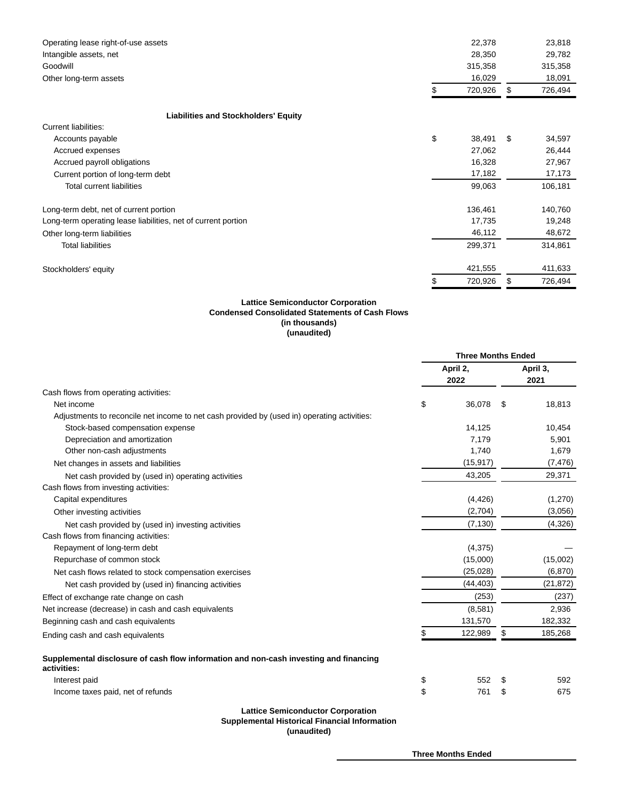| Operating lease right-of-use assets                           | 22,378        | 23,818        |
|---------------------------------------------------------------|---------------|---------------|
| Intangible assets, net                                        | 28,350        | 29,782        |
| Goodwill                                                      | 315,358       | 315,358       |
| Other long-term assets                                        | 16,029        | 18,091        |
|                                                               | 720,926       | \$<br>726,494 |
| <b>Liabilities and Stockholders' Equity</b>                   |               |               |
| <b>Current liabilities:</b>                                   |               |               |
| Accounts payable                                              | \$<br>38,491  | \$<br>34,597  |
| Accrued expenses                                              | 27,062        | 26,444        |
| Accrued payroll obligations                                   | 16,328        | 27,967        |
| Current portion of long-term debt                             | 17,182        | 17,173        |
| <b>Total current liabilities</b>                              | 99,063        | 106,181       |
| Long-term debt, net of current portion                        | 136,461       | 140,760       |
| Long-term operating lease liabilities, net of current portion | 17,735        | 19,248        |
| Other long-term liabilities                                   | 46,112        | 48,672        |
| <b>Total liabilities</b>                                      | 299,371       | 314,861       |
| Stockholders' equity                                          | 421,555       | 411,633       |
|                                                               | \$<br>720,926 | \$<br>726,494 |

#### **Lattice Semiconductor Corporation Condensed Consolidated Statements of Cash Flows (in thousands) (unaudited)**

|                                                                                                      | <b>Three Months Ended</b> |           |    |                  |
|------------------------------------------------------------------------------------------------------|---------------------------|-----------|----|------------------|
|                                                                                                      | April 2,<br>2022          |           |    | April 3,<br>2021 |
| Cash flows from operating activities:                                                                |                           |           |    |                  |
| Net income                                                                                           | \$                        | 36,078    | S  | 18,813           |
| Adjustments to reconcile net income to net cash provided by (used in) operating activities:          |                           |           |    |                  |
| Stock-based compensation expense                                                                     |                           | 14,125    |    | 10,454           |
| Depreciation and amortization                                                                        |                           | 7,179     |    | 5,901            |
| Other non-cash adjustments                                                                           |                           | 1,740     |    | 1,679            |
| Net changes in assets and liabilities                                                                |                           | (15, 917) |    | (7, 476)         |
| Net cash provided by (used in) operating activities                                                  |                           | 43,205    |    | 29,371           |
| Cash flows from investing activities:                                                                |                           |           |    |                  |
| Capital expenditures                                                                                 |                           | (4, 426)  |    | (1,270)          |
| Other investing activities                                                                           |                           | (2,704)   |    | (3,056)          |
| Net cash provided by (used in) investing activities                                                  |                           | (7, 130)  |    | (4,326)          |
| Cash flows from financing activities:                                                                |                           |           |    |                  |
| Repayment of long-term debt                                                                          |                           | (4, 375)  |    |                  |
| Repurchase of common stock                                                                           |                           | (15,000)  |    | (15,002)         |
| Net cash flows related to stock compensation exercises                                               |                           | (25, 028) |    | (6, 870)         |
| Net cash provided by (used in) financing activities                                                  |                           | (44, 403) |    | (21, 872)        |
| Effect of exchange rate change on cash                                                               |                           | (253)     |    | (237)            |
| Net increase (decrease) in cash and cash equivalents                                                 |                           | (8,581)   |    | 2,936            |
| Beginning cash and cash equivalents                                                                  |                           | 131,570   |    | 182,332          |
| Ending cash and cash equivalents                                                                     |                           | 122,989   | \$ | 185,268          |
| Supplemental disclosure of cash flow information and non-cash investing and financing<br>activities: |                           |           |    |                  |
| Interest paid                                                                                        | \$                        | 552       | \$ | 592              |
| Income taxes paid, net of refunds                                                                    | \$                        | 761       | \$ | 675              |
| <b>Lattice Semiconductor Corporation</b><br><b>Supplemental Historical Financial Information</b>     |                           |           |    |                  |

**(unaudited)**

**Three Months Ended**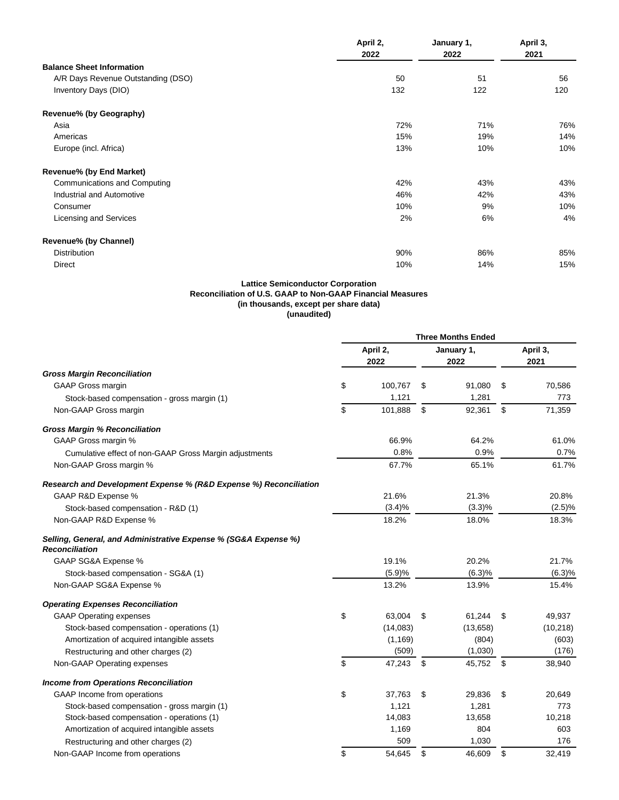|                                    | April 2,<br>2022 | January 1,<br>2022 | April 3,<br>2021 |  |
|------------------------------------|------------------|--------------------|------------------|--|
| <b>Balance Sheet Information</b>   |                  |                    |                  |  |
| A/R Days Revenue Outstanding (DSO) | 50               | 51                 | 56               |  |
| Inventory Days (DIO)               | 132              | 122                | 120              |  |
| Revenue% (by Geography)            |                  |                    |                  |  |
| Asia                               | 72%              | 71%                | 76%              |  |
| Americas                           | 15%              | 19%                | 14%              |  |
| Europe (incl. Africa)              | 13%              | 10%                | 10%              |  |
| Revenue% (by End Market)           |                  |                    |                  |  |
| Communications and Computing       | 42%              | 43%                | 43%              |  |
| Industrial and Automotive          | 46%              | 42%                | 43%              |  |
| Consumer                           | 10%              | 9%                 | 10%              |  |
| Licensing and Services             | 2%               | 6%                 | 4%               |  |
| Revenue% (by Channel)              |                  |                    |                  |  |
| <b>Distribution</b>                | 90%              | 86%                | 85%              |  |
| <b>Direct</b>                      | 10%              | 14%                | 15%              |  |

## **Lattice Semiconductor Corporation Reconciliation of U.S. GAAP to Non-GAAP Financial Measures (in thousands, except per share data) (unaudited)**

|                                                                                          | <b>Three Months Ended</b> |          |                    |          |    |                  |
|------------------------------------------------------------------------------------------|---------------------------|----------|--------------------|----------|----|------------------|
|                                                                                          | April 2,<br>2022          |          | January 1,<br>2022 |          |    | April 3,<br>2021 |
| <b>Gross Margin Reconciliation</b>                                                       |                           |          |                    |          |    |                  |
| <b>GAAP Gross margin</b>                                                                 | \$                        | 100,767  | \$                 | 91,080   | \$ | 70,586           |
| Stock-based compensation - gross margin (1)                                              |                           | 1,121    |                    | 1,281    |    | 773              |
| Non-GAAP Gross margin                                                                    | \$                        | 101,888  | \$                 | 92,361   | \$ | 71,359           |
| <b>Gross Margin % Reconciliation</b>                                                     |                           |          |                    |          |    |                  |
| GAAP Gross margin %                                                                      |                           | 66.9%    |                    | 64.2%    |    | 61.0%            |
| Cumulative effect of non-GAAP Gross Margin adjustments                                   |                           | 0.8%     |                    | 0.9%     |    | 0.7%             |
| Non-GAAP Gross margin %                                                                  |                           | 67.7%    |                    | 65.1%    |    | 61.7%            |
| Research and Development Expense % (R&D Expense %) Reconciliation                        |                           |          |                    |          |    |                  |
| GAAP R&D Expense %                                                                       |                           | 21.6%    |                    | 21.3%    |    | 20.8%            |
| Stock-based compensation - R&D (1)                                                       |                           | (3.4)%   |                    | (3.3)%   |    | (2.5)%           |
| Non-GAAP R&D Expense %                                                                   |                           | 18.2%    |                    | 18.0%    |    | 18.3%            |
| Selling, General, and Administrative Expense % (SG&A Expense %)<br><b>Reconciliation</b> |                           |          |                    |          |    |                  |
| GAAP SG&A Expense %                                                                      |                           | 19.1%    |                    | 20.2%    |    | 21.7%            |
| Stock-based compensation - SG&A (1)                                                      |                           | (5.9)%   |                    | (6.3)%   |    | (6.3)%           |
| Non-GAAP SG&A Expense %                                                                  |                           | 13.2%    |                    | 13.9%    |    | 15.4%            |
| <b>Operating Expenses Reconciliation</b>                                                 |                           |          |                    |          |    |                  |
| <b>GAAP Operating expenses</b>                                                           | \$                        | 63,004   | \$                 | 61,244   | \$ | 49,937           |
| Stock-based compensation - operations (1)                                                |                           | (14,083) |                    | (13,658) |    | (10, 218)        |
| Amortization of acquired intangible assets                                               |                           | (1, 169) |                    | (804)    |    | (603)            |
| Restructuring and other charges (2)                                                      |                           | (509)    |                    | (1,030)  |    | (176)            |
| Non-GAAP Operating expenses                                                              | \$                        | 47,243   | \$                 | 45,752   | \$ | 38,940           |
| <b>Income from Operations Reconciliation</b>                                             |                           |          |                    |          |    |                  |
| GAAP Income from operations                                                              | \$                        | 37,763   | \$                 | 29,836   | \$ | 20,649           |
| Stock-based compensation - gross margin (1)                                              |                           | 1,121    |                    | 1,281    |    | 773              |
| Stock-based compensation - operations (1)                                                |                           | 14,083   |                    | 13,658   |    | 10,218           |
| Amortization of acquired intangible assets                                               |                           | 1,169    |                    | 804      |    | 603              |
| Restructuring and other charges (2)                                                      |                           | 509      |                    | 1,030    |    | 176              |
| Non-GAAP Income from operations                                                          | \$                        | 54,645   | \$                 | 46,609   | \$ | 32,419           |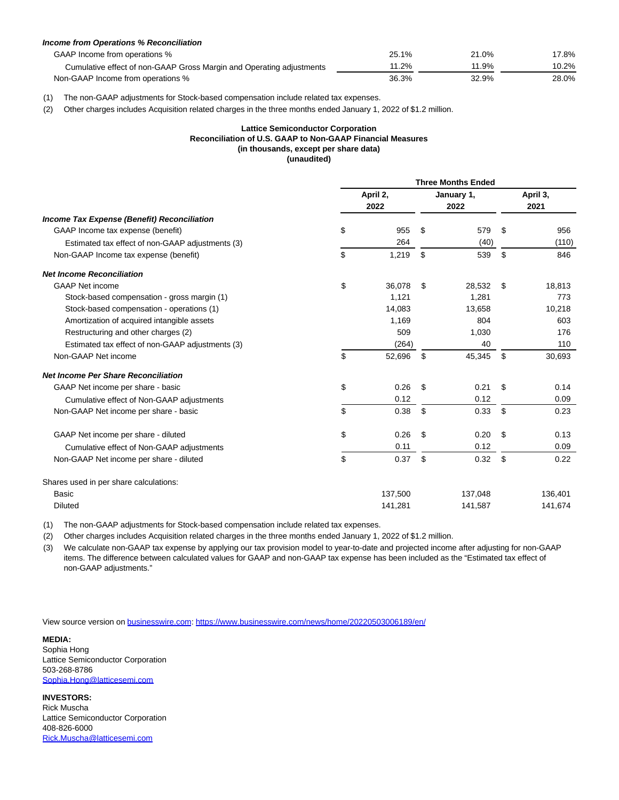| <b>Income from Operations % Reconciliation</b>                       |       |       |       |
|----------------------------------------------------------------------|-------|-------|-------|
| GAAP Income from operations %                                        | 25.1% | 21.0% | 17.8% |
| Cumulative effect of non-GAAP Gross Margin and Operating adjustments | 11.2% | 11.9% | 10.2% |
| Non-GAAP Income from operations %                                    | 36.3% | 32.9% | 28.0% |

(1) The non-GAAP adjustments for Stock-based compensation include related tax expenses.

(2) Other charges includes Acquisition related charges in the three months ended January 1, 2022 of \$1.2 million.

## **Lattice Semiconductor Corporation Reconciliation of U.S. GAAP to Non-GAAP Financial Measures (in thousands, except per share data) (unaudited)**

|                                                  | <b>Three Months Ended</b> |                  |    |                    |     |                  |  |
|--------------------------------------------------|---------------------------|------------------|----|--------------------|-----|------------------|--|
|                                                  |                           | April 2,<br>2022 |    | January 1,<br>2022 |     | April 3,<br>2021 |  |
| Income Tax Expense (Benefit) Reconciliation      |                           |                  |    |                    |     |                  |  |
| GAAP Income tax expense (benefit)                | \$                        | 955              | \$ | 579                | \$. | 956              |  |
| Estimated tax effect of non-GAAP adjustments (3) |                           | 264              |    | (40)               |     | (110)            |  |
| Non-GAAP Income tax expense (benefit)            | \$                        | 1,219            | \$ | 539                | \$  | 846              |  |
| <b>Net Income Reconciliation</b>                 |                           |                  |    |                    |     |                  |  |
| <b>GAAP Net income</b>                           | \$                        | 36,078           | \$ | 28,532             | \$  | 18,813           |  |
| Stock-based compensation - gross margin (1)      |                           | 1.121            |    | 1.281              |     | 773              |  |
| Stock-based compensation - operations (1)        |                           | 14,083           |    | 13,658             |     | 10,218           |  |
| Amortization of acquired intangible assets       |                           | 1,169            |    | 804                |     | 603              |  |
| Restructuring and other charges (2)              |                           | 509              |    | 1,030              |     | 176              |  |
| Estimated tax effect of non-GAAP adjustments (3) |                           | (264)            |    | 40                 |     | 110              |  |
| Non-GAAP Net income                              | \$                        | 52,696           | \$ | 45,345             | \$  | 30,693           |  |
| <b>Net Income Per Share Reconciliation</b>       |                           |                  |    |                    |     |                  |  |
| GAAP Net income per share - basic                | \$                        | 0.26             | \$ | 0.21               | \$  | 0.14             |  |
| Cumulative effect of Non-GAAP adjustments        |                           | 0.12             |    | 0.12               |     | 0.09             |  |
| Non-GAAP Net income per share - basic            | \$                        | 0.38             | \$ | 0.33               | \$  | 0.23             |  |
| GAAP Net income per share - diluted              | \$                        | 0.26             | \$ | 0.20               | \$. | 0.13             |  |
| Cumulative effect of Non-GAAP adjustments        |                           | 0.11             |    | 0.12               |     | 0.09             |  |
| Non-GAAP Net income per share - diluted          | \$                        | 0.37             | \$ | 0.32               | \$  | 0.22             |  |
| Shares used in per share calculations:           |                           |                  |    |                    |     |                  |  |
| Basic                                            |                           | 137,500          |    | 137,048            |     | 136,401          |  |
| <b>Diluted</b>                                   |                           | 141,281          |    | 141,587            |     | 141,674          |  |

(1) The non-GAAP adjustments for Stock-based compensation include related tax expenses.

(2) Other charges includes Acquisition related charges in the three months ended January 1, 2022 of \$1.2 million.

(3) We calculate non-GAAP tax expense by applying our tax provision model to year-to-date and projected income after adjusting for non-GAAP items. The difference between calculated values for GAAP and non-GAAP tax expense has been included as the "Estimated tax effect of non-GAAP adjustments."

View source version on [businesswire.com:](http://businesswire.com/)<https://www.businesswire.com/news/home/20220503006189/en/>

## **MEDIA:**

Sophia Hong Lattice Semiconductor Corporation 503-268-8786 [Sophia.Hong@latticesemi.com](mailto:Sophia.Hong@latticesemi.com)

#### **INVESTORS:** Rick Muscha Lattice Semiconductor Corporation 408-826-6000 [Rick.Muscha@latticesemi.com](mailto:Rick.Muscha@latticesemi.com)